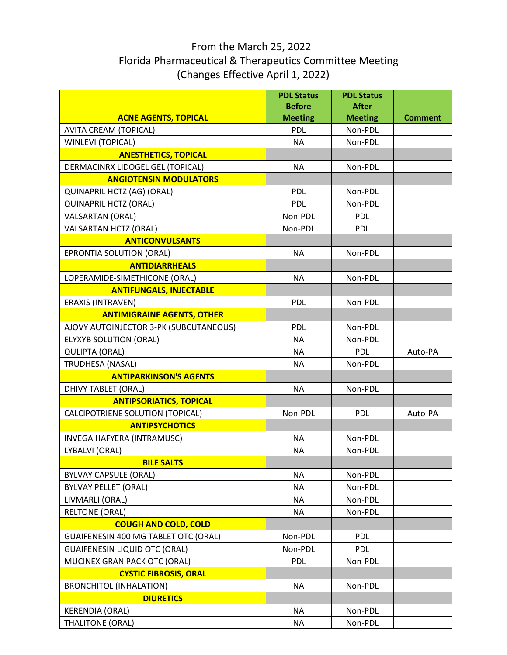## (Changes Effective April 1, 2022) From the March 25, 2022 Florida Pharmaceutical & Therapeutics Committee Meeting

|                                                                            | <b>PDL Status</b><br><b>Before</b> | <b>PDL Status</b><br><b>After</b> |                |
|----------------------------------------------------------------------------|------------------------------------|-----------------------------------|----------------|
| <b>ACNE AGENTS, TOPICAL</b>                                                | <b>Meeting</b>                     | <b>Meeting</b>                    | <b>Comment</b> |
| <b>AVITA CREAM (TOPICAL)</b>                                               | <b>PDL</b>                         | Non-PDL                           |                |
| <b>WINLEVI (TOPICAL)</b>                                                   | <b>NA</b>                          | Non-PDL                           |                |
| <b>ANESTHETICS, TOPICAL</b>                                                |                                    |                                   |                |
| DERMACINRX LIDOGEL GEL (TOPICAL)                                           | <b>NA</b>                          | Non-PDL                           |                |
| <b>ANGIOTENSIN MODULATORS</b>                                              |                                    |                                   |                |
| QUINAPRIL HCTZ (AG) (ORAL)                                                 | <b>PDL</b>                         | Non-PDL                           |                |
| <b>QUINAPRIL HCTZ (ORAL)</b>                                               | <b>PDL</b>                         | Non-PDL                           |                |
| <b>VALSARTAN (ORAL)</b>                                                    | Non-PDL                            | <b>PDL</b>                        |                |
| <b>VALSARTAN HCTZ (ORAL)</b>                                               | Non-PDL                            | <b>PDL</b>                        |                |
| <b>ANTICONVULSANTS</b>                                                     |                                    |                                   |                |
| EPRONTIA SOLUTION (ORAL)                                                   | <b>NA</b>                          | Non-PDL                           |                |
| <b>ANTIDIARRHEALS</b>                                                      |                                    |                                   |                |
| LOPERAMIDE-SIMETHICONE (ORAL)                                              | <b>NA</b>                          | Non-PDL                           |                |
| <b>ANTIFUNGALS, INJECTABLE</b>                                             |                                    |                                   |                |
| <b>ERAXIS (INTRAVEN)</b>                                                   | <b>PDL</b>                         | Non-PDL                           |                |
| <b>ANTIMIGRAINE AGENTS, OTHER</b>                                          |                                    |                                   |                |
| AJOVY AUTOINJECTOR 3-PK (SUBCUTANEOUS)                                     | <b>PDL</b>                         | Non-PDL                           |                |
| <b>ELYXYB SOLUTION (ORAL)</b>                                              | <b>NA</b>                          | Non-PDL                           |                |
| <b>QULIPTA (ORAL)</b>                                                      | <b>NA</b>                          | <b>PDL</b>                        | Auto-PA        |
| <b>TRUDHESA (NASAL)</b>                                                    | <b>NA</b>                          | Non-PDL                           |                |
| <b>ANTIPARKINSON'S AGENTS</b>                                              |                                    |                                   |                |
| DHIVY TABLET (ORAL)                                                        | <b>NA</b>                          | Non-PDL                           |                |
| <b>ANTIPSORIATICS, TOPICAL</b>                                             |                                    |                                   |                |
| CALCIPOTRIENE SOLUTION (TOPICAL)                                           | Non-PDL                            | <b>PDL</b>                        | Auto-PA        |
| <b>ANTIPSYCHOTICS</b>                                                      |                                    |                                   |                |
| INVEGA HAFYERA (INTRAMUSC)                                                 | <b>NA</b>                          | Non-PDL                           |                |
| LYBALVI (ORAL)                                                             | <b>NA</b>                          | Non-PDL                           |                |
| <b>BILE SALTS</b>                                                          |                                    |                                   |                |
| <b>BYLVAY CAPSULE (ORAL)</b>                                               | <b>NA</b>                          | Non-PDL                           |                |
| <b>BYLVAY PELLET (ORAL)</b>                                                | <b>NA</b>                          | Non-PDL                           |                |
| LIVMARLI (ORAL)                                                            | <b>NA</b>                          | Non-PDL                           |                |
| <b>RELTONE (ORAL)</b>                                                      | <b>NA</b>                          | Non-PDL                           |                |
| <b>COUGH AND COLD, COLD</b><br><b>GUAIFENESIN 400 MG TABLET OTC (ORAL)</b> | Non-PDL                            | <b>PDL</b>                        |                |
|                                                                            | Non-PDL                            |                                   |                |
| <b>GUAIFENESIN LIQUID OTC (ORAL)</b><br>MUCINEX GRAN PACK OTC (ORAL)       | <b>PDL</b>                         | <b>PDL</b><br>Non-PDL             |                |
| <b>CYSTIC FIBROSIS, ORAL</b>                                               |                                    |                                   |                |
| <b>BRONCHITOL (INHALATION)</b>                                             | <b>NA</b>                          | Non-PDL                           |                |
| <b>DIURETICS</b>                                                           |                                    |                                   |                |
| <b>KERENDIA (ORAL)</b>                                                     | <b>NA</b>                          | Non-PDL                           |                |
| <b>THALITONE (ORAL)</b>                                                    | <b>NA</b>                          | Non-PDL                           |                |
|                                                                            |                                    |                                   |                |